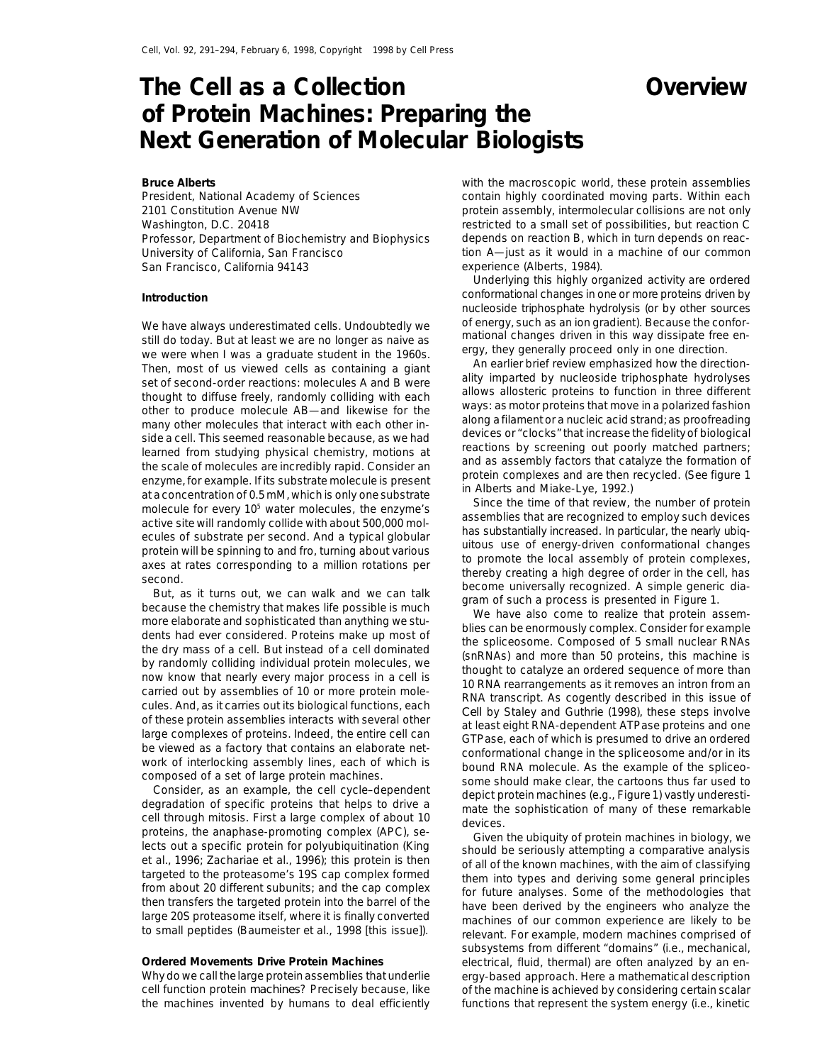# **The Cell as a Collection Contract Contract Contract Contract Contract Contract Contract Contract Contract Contract Contract Contract Contract Contract Contract Contract Contract Contract Contract Contract Contract Contrac of Protein Machines: Preparing the Next Generation of Molecular Biologists**

### **Bruce Alberts**

President, National Academy of Sciences 2101 Constitution Avenue NW Washington, D.C. 20418 Professor, Department of Biochemistry and Biophysics University of California, San Francisco **the set of the A—just as it would in a machine of our common** San Francisco, California 94143 experience (Alberts, 1984).

still do today. But at least we are no longer as naive as<br>we were when I was a graduate student in the 1960s.<br>Then, most of us viewed cells as containing a giant<br>set of second-order reactions: molecules A and B were<br>ally i

with the macroscopic world, these protein assemblies contain highly coordinated moving parts. Within each protein assembly, intermolecular collisions are not only restricted to a small set of possibilities, but reaction C depends on reaction B, which in turn depends on reac-

Underlying this highly organized activity are ordered conformational changes in one or more proteins driven by **Introduction** nucleoside triphosphate hydrolysis (or by other sources We have always underestimated cells. Undoubtedly we of energy, such as an ion gradient). Because the confor-<br>
still do today. But at least we are no longer as naive as mational changes driven in this way dissipate free en-

thought is diffused freeholic method with each is a matterial of a controlling with each is the method of the spectral and the spectral and the spectral and the spectral and the spectral and the spectral and the spectral a

subsystems from different "domains" (i.e., mechanical, Ordered Movements Drive Protein Machines electrical, fluid, thermal) are often analyzed by an en-Why do we call the large protein assemblies that underlie ergy-based approach. Here a mathematical description cell function protein *machines*? Precisely because, like of the machine is achieved by considering certain scalar the machines invented by humans to deal efficiently functions that represent the system energy (i.e., kinetic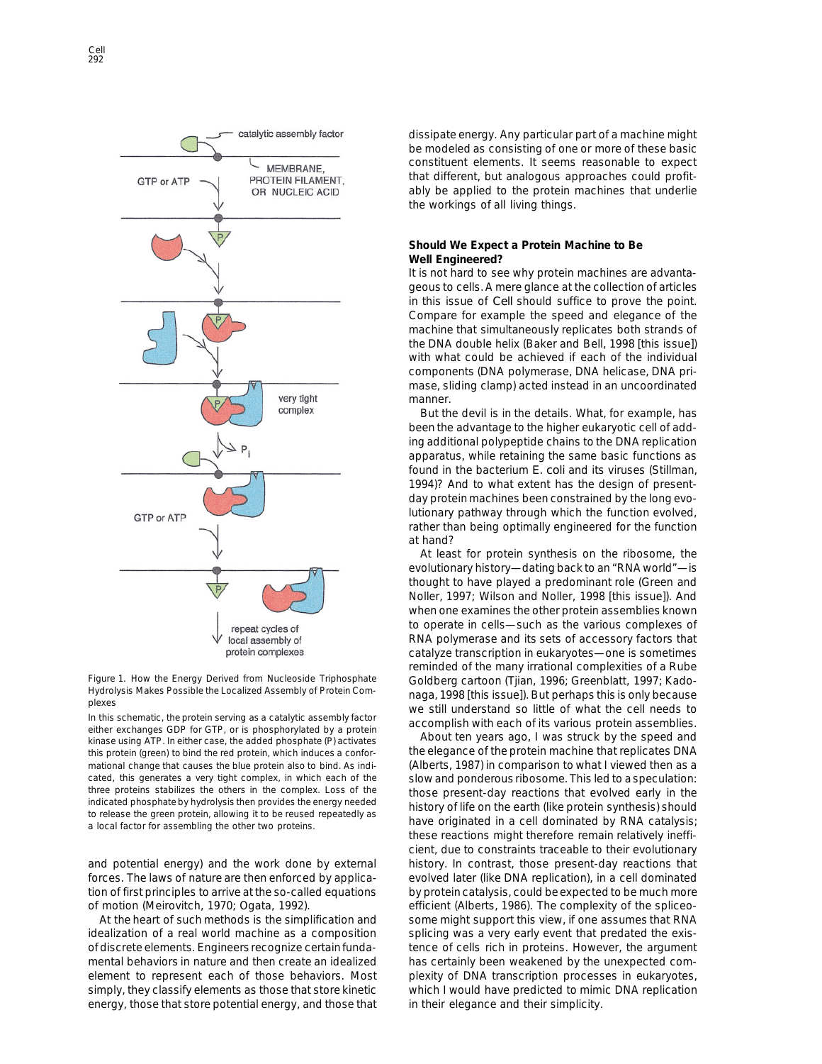



MEMBRANE.

In this scriematic, the protein serving as a catalytic assembly factor<br>either exchanges GDP for GTP, or is phosphorylated by a protein<br>kinase using ATP. In either case, the added phosphate (P) activates and a bout ten year this protein (green) to bind the red protein, which induces a confor- the elegance of the protein machine that replicates DNA mational change that causes the blue protein also to bind. As indi- (Alberts, 1987) in comparison to what I viewed then as a cated, this generates a very tight complex, in which each of the slow and ponderous ribosome. This led to a speculation:<br>three proteins stabilizes the others in the complex. Loss of the those present-day reactions that evo Three proteins stabilizes the others in the complex. Loss of the those present-day reactions that evolved early in the indicated phosphate by hydrolysis then provides the energy needed<br>to release the green protein, allowin

forces. The laws of nature are then enforced by applica- evolved later (like DNA replication), in a cell dominated tion of first principles to arrive at the so-called equations by protein catalysis, could be expected to be much more of motion (Meirovitch, 1970; Ogata, 1992). efficient (Alberts, 1986). The complexity of the spliceo-

idealization of a real world machine as a composition splicing was a very early event that predated the exisof discrete elements. Engineersrecognize certain funda- tence of cells rich in proteins. However, the argument mental behaviors in nature and then create an idealized has certainly been weakened by the unexpected comelement to represent each of those behaviors. Most plexity of DNA transcription processes in eukaryotes, simply, they classify elements as those that store kinetic which I would have predicted to mimic DNA replication energy, those that store potential energy, and those that in their elegance and their simplicity.

dissipate energy. Any particular part of a machine might be modeled as consisting of one or more of these basic constituent elements. It seems reasonable to expect that different, but analogous approaches could profitably be applied to the protein machines that underlie the workings of all living things.

## **Should We Expect a Protein Machine to Be Well Engineered?**

It is not hard to see why protein machines are advantageous to cells. A mere glance at the collection of articles in this issue of *Cell* should suffice to prove the point. Compare for example the speed and elegance of the machine that simultaneously replicates both strands of the DNA double helix (Baker and Bell, 1998 [this issue]) with what could be achieved if each of the individual components (DNA polymerase, DNA helicase, DNA primase, sliding clamp) acted instead in an uncoordinated manner.

But the devil is in the details. What, for example, has been the advantage to the higher eukaryotic cell of adding additional polypeptide chains to the DNA replication apparatus, while retaining the same basic functions as found in the bacterium *E. coli* and its viruses (Stillman, 1994)? And to what extent has the design of presentday protein machines been constrained by the long evolutionary pathway through which the function evolved, rather than being optimally engineered for the function at hand?

At least for protein synthesis on the ribosome, the evolutionary history—dating back to an "RNA world"—is thought to have played a predominant role (Green and Noller, 1997; Wilson and Noller, 1998 [this issue]). And when one examines the other protein assemblies known to operate in cells—such as the various complexes of RNA polymerase and its sets of accessory factors that catalyze transcription in eukaryotes—one is sometimes reminded of the many irrational complexities of a Rube Figure 1. How the Energy Derived from Nucleoside Triphosphate<br>Hydrolysis Makes Possible the Localized Assembly of Protein Com-<br>plexes<br>In this schematic, the protein serving as a catalytic assembly factor<br>In this schematic,

these reactions might therefore remain relatively inefficient, due to constraints traceable to their evolutionary and potential energy) and the work done by external history. In contrast, those present-day reactions that At the heart of such methods is the simplification and some might support this view, if one assumes that RNA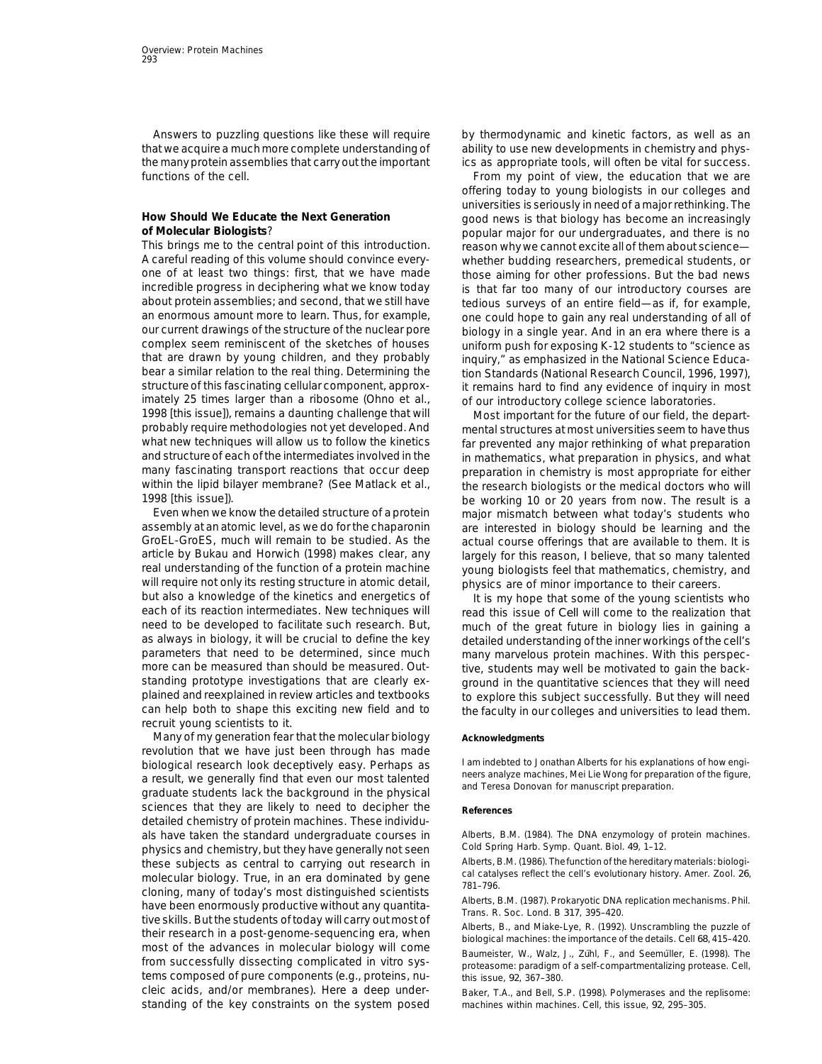Answers to puzzling questions like these will require by thermodynamic and kinetic factors, as well as an that we acquire a much more complete understanding of ability to use new developments in chemistry and physthe many protein assemblies that carry out the important ics as appropriate tools, will often be vital for success.

A careful reading of this volume should convince every- whether budding researchers, premedical students, or one of at least two things: first, that we have made those aiming for other professions. But the bad news<br>incredible progress in deciphering what we know today is that far too many of our introductory courses are incredible progress in deciphering what we know today is that far too many of our introductory courses are<br>about protein assemblies; and second, that we still have indicus surveys of an entire field—as if, for example about protein assemblies; and second, that we still have tedious surveys of an entire field—as if, for example,<br>An enormous amount more to learn. Thus, for example, an example, one could hope to gain any real understanding an enormous amount more to learn. Thus, for example, one could hope to gain any real understanding of all of<br>our current drawings of the structure of the nuclear pore biology in a single year. And in an era where there is complex seem reminiscent of the sketches of houses uniform push for exposing K-12 students to "science as that are drawn by young children, and they probably inquiry," as emphasized in the National Science Educabear a similar relation to the real thing. Determining the tion Standards (National Research Council, 1996, 1997), structure of this fascinating cellular component, approx- it remains hard to find any evidence of inquiry in most imately 25 times larger than a ribosome (Ohno et al., of our introductory college science laboratories. 1998 [this issue]), remains a daunting challenge that will Most important for the future of our field, the departprobably require methodologies not yet developed. And mental structures at most universities seem to have thus many fascinating transport reactions that occur deep preparation in chemistry is most appropriate for either within the lipid bilayer membrane? (See Matlack et al., the research biologists or the medical doctors who will

assembly at an atomic level, as we do for the chaparonin are interested in biology should be learning and the GroEL-GroES, much will remain to be studied. As the actual course offerings that are available to them. It is article by Bukau and Horwich (1998) makes clear, any largely for this reason, I believe, that so many talented real understanding of the function of a protein machine young biologists feel that mathematics, chemistry, and will require not only its resting structure in atomic detail, by physics are of minor importance to their careers.<br>but also a knowledge of the kinetics and energetics of figures in the same of the young scientists parameters that need to be determined, since much many marvelous protein machines. With this perspec-<br>more can be measured than should be measured. Out-<br>tive, students may well be montivated to gain the backrecruit young scientists to it.

Many of my generation fear that the molecular biology **Acknowledgments** revolution that we have just been through has made biological research look deceptively easy. Perhaps as I am indebted to Jonathan Alberts for his explanations of how engi-<br>a result we generally find that even our mest talented neers analyze machines, Mei Lie Wong for prep a result, we generally find that even our most talented and Teers analyze machines, wer Lie wong for preparation<br>graduate students lack the background in the physical and Teresa Donovan for manuscript preparation. sciences that they are likely to need to decipher the **References** detailed chemistry of protein machines. These individuals have taken the standard undergraduate courses in Alberts, B.M. (1984). The DNA enzymology of protein machines.<br>physics and chemistry, but they have generally not seen Cold Spring Harb. Symp. Quant. Biol. 49, 1-12. physics and chemistry, but they have generally not seen Cold Spring Harb. Symp. Quant. Biol. 49, 1–12.<br>these, subjects, as central to carrying out research in Alberts, B.M. (1986). The function of the hereditary materials: these subjects as central to carrying out research in Alberts, B.M. (1986). The function of the hereditary materials: biologi-<br>molecular biology, True in an era dominated by gene and cal catalyses reflect the cell's evolut molecular biology. True, in an era dominated by gene cal catalyses reflect the cell catalyses reflect the cell<br>261-796, and *26, and the cell the cell the cellulary history.* Amer. Zool. *261-796*, and *26*, and *26*, and cloning, many of today's most distinguished scientists<br>have been enormously productive without any quantita-<br>tive skills. But the students of today will carry out most of<br>their research in a post-genome-sequencing era, whe their research in a post-genome-sequencing era, when<br>
most of the advances in molecular biology will come<br>
from successfully dissecting complicated in vitro sys-<br>
proteasome: paradigm of a self-compartmentalizing protease. tems composed of pure components (e.g., proteins, nu- this issue, *92*, 367–380. cleic acids, and/or membranes). Here a deep under- Baker, T.A., and Bell, S.P. (1998). Polymerases and the replisome: standing of the key constraints on the system posed machines within machines. Cell, this issue, *92*, 295–305.

functions of the cell. The cell contract that we are from my point of view, the education that we are offering today to young biologists in our colleges and universities isseriously in needof a major rethinking. The **How Should We Educate the Next Generation** good news is that biology has become an increasingly of Molecular Biologists?<br>
oppular major for our undergraduates, and there is no popular major for our undergraduates, and there is no This brings me to the central point of this introduction. reason why we cannot excite all of them about science—<br>A careful reading of this volume should convince every-<br>whether budding researchers, premedical students, or biology in a single year. And in an era where there is a

what new techniques will allow us to follow the kinetics far prevented any major rethinking of what preparation and structure of each of the intermediates involved in the in mathematics, what preparation in physics, and what 1998 [this issue]). be working 10 or 20 years from now. The result is a Even when we know the detailed structure of a protein major mismatch between what today's students who

but also a knowledge of the kinetics and energetics of The His my hope that some of the young scientists who<br>His is that is reaction intermediates. New techniques will The ad this issue of *Cell* will come to the realizati each of its reaction intermediates. New techniques will read this issue of *Cell* will come to the realization that<br>need to be developed to facilitate such research. But, and much of the great future in biology lies in gai need to be developed to facilitate such research. But, an much of the great future in biology lies in gaining a<br>The salways in biology, it will be crucial to define the key adetailed understanding of the inner workings of as always in biology, it will be crucial to define the key detailed understanding of the inner workings of the cell's<br>Darameters that need to be determined, since much a many marvelous protein machines. With this perspective, students may well be motivated to gain the backstanding prototype investigations that are clearly ex-<br>
plained and reexplained in review articles and textbooks to explore this subject successfully. But they will need to explore this subject successfully. But they will need can help both to shape this exciting new field and to the faculty in our colleges and universities to lead them.